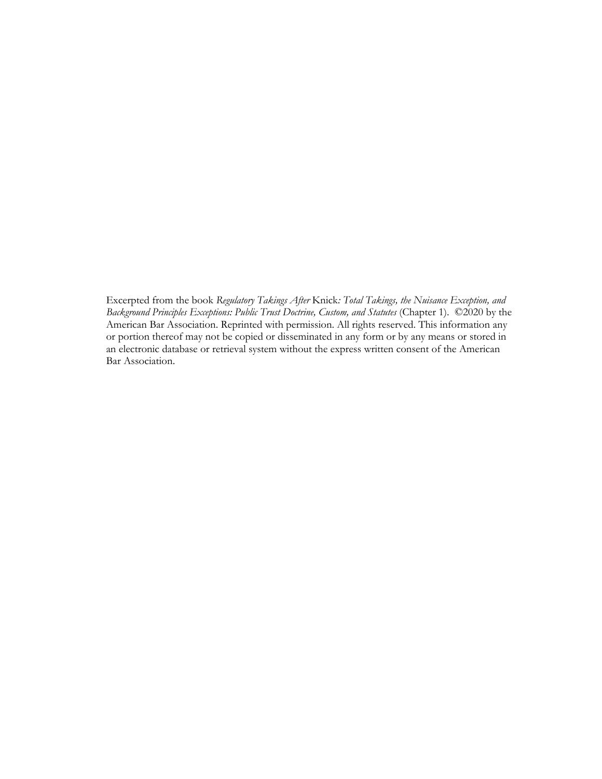Excerpted from the book *Regulatory Takings After* Knick*: Total Takings, the Nuisance Exception, and Background Principles Exceptions: Public Trust Doctrine, Custom, and Statutes* (Chapter 1). ©2020 by the American Bar Association. Reprinted with permission. All rights reserved. This information any or portion thereof may not be copied or disseminated in any form or by any means or stored in an electronic database or retrieval system without the express written consent of the American Bar Association.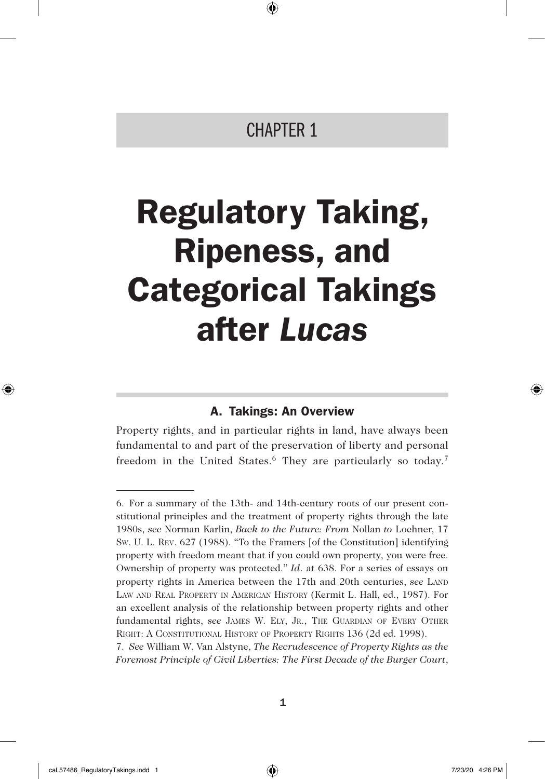# CHAPTER 1

⊕

# Regulatory Taking, Ripeness, and Categorical Takings after *Lucas*

# A. Takings: An Overview

Property rights, and in particular rights in land, have always been fundamental to and part of the preservation of liberty and personal freedom in the United States.<sup>6</sup> They are particularly so today.<sup>7</sup>

◈

⊕

<sup>6.</sup> For a summary of the 13th- and 14th-century roots of our present constitutional principles and the treatment of property rights through the late 1980s, *see* Norman Karlin, *Back to the Future: From* Nollan *to* Lochner, 17 Sw. U. L. Rev. 627 (1988). "To the Framers [of the Constitution] identifying property with freedom meant that if you could own property, you were free. Ownership of property was protected." *Id*. at 638. For a series of essays on property rights in America between the 17th and 20th centuries, *see* Land Law and Real Property in American History (Kermit L. Hall, ed., 1987). For an excellent analysis of the relationship between property rights and other fundamental rights, *see* JAMES W. ELY, JR., THE GUARDIAN OF EVERY OTHER RIGHT: A CONSTITUTIONAL HISTORY OF PROPERTY RIGHTS 136 (2d ed. 1998).

<sup>7.</sup> *See* William W. Van Alstyne, *The Recrudescence of Property Rights as the Foremost Principle of Civil Liberties: The First Decade of the Burger Court*,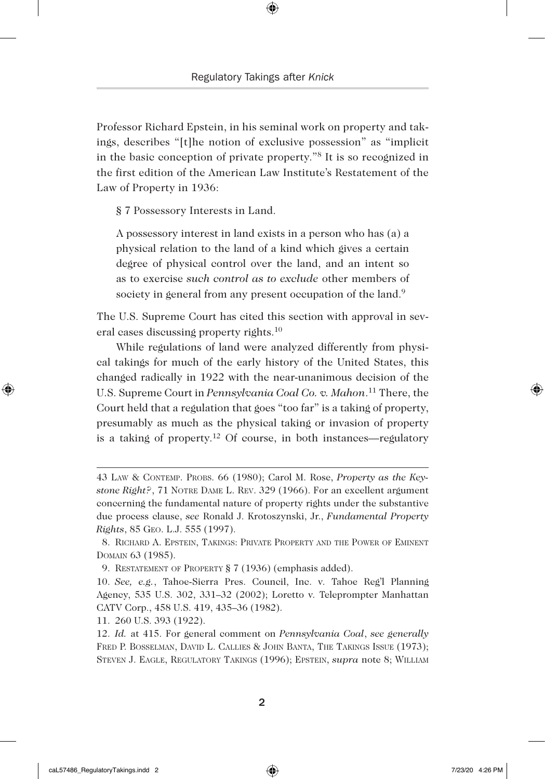Professor Richard Epstein, in his seminal work on property and takings, describes "[t]he notion of exclusive possession" as "implicit in the basic conception of private property."8 It is so recognized in the first edition of the American Law Institute's Restatement of the Law of Property in 1936:

§ 7 Possessory Interests in Land.

A possessory interest in land exists in a person who has (a) a physical relation to the land of a kind which gives a certain degree of physical control over the land, and an intent so as to exercise *such control as to exclude* other members of society in general from any present occupation of the land.<sup>9</sup>

The U.S. Supreme Court has cited this section with approval in several cases discussing property rights.<sup>10</sup>

While regulations of land were analyzed differently from physical takings for much of the early history of the United States, this changed radically in 1922 with the near-unanimous decision of the U.S. Supreme Court in *Pennsylvania Coal Co. v. Mahon*. 11 There, the Court held that a regulation that goes "too far" is a taking of property, presumably as much as the physical taking or invasion of property is a taking of property.12 Of course, in both instances—regulatory

11. 260 U.S. 393 (1922).

◈

<sup>43</sup> Law & Contemp. Probs. 66 (1980); Carol M. Rose, *Property as the Keystone Right?*, 71 Notre Dame L. Rev. 329 (1966). For an excellent argument concerning the fundamental nature of property rights under the substantive due process clause, *see* Ronald J. Krotoszynski, Jr., *Fundamental Property Rights*, 85 Geo. L.J. 555 (1997).

<sup>8.</sup> Richard A. Epstein, Takings: Private Property and the Power of Eminent Domain 63 (1985).

<sup>9.</sup> Restatement of Property § 7 (1936) (emphasis added).

<sup>10.</sup> *See, e.g.*, Tahoe-Sierra Pres. Council, Inc. v. Tahoe Reg'l Planning Agency, 535 U.S. 302, 331–32 (2002); Loretto v. Teleprompter Manhattan CATV Corp., 458 U.S. 419, 435–36 (1982).

<sup>12.</sup> *Id.* at 415. For general comment on *Pennsylvania Coal*, *see generally* Fred P. Bosselman, David L. Callies & John Banta, The Takings Issue (1973); Steven J. Eagle, Regulatory Takings (1996); Epstein, *supra* note 8; William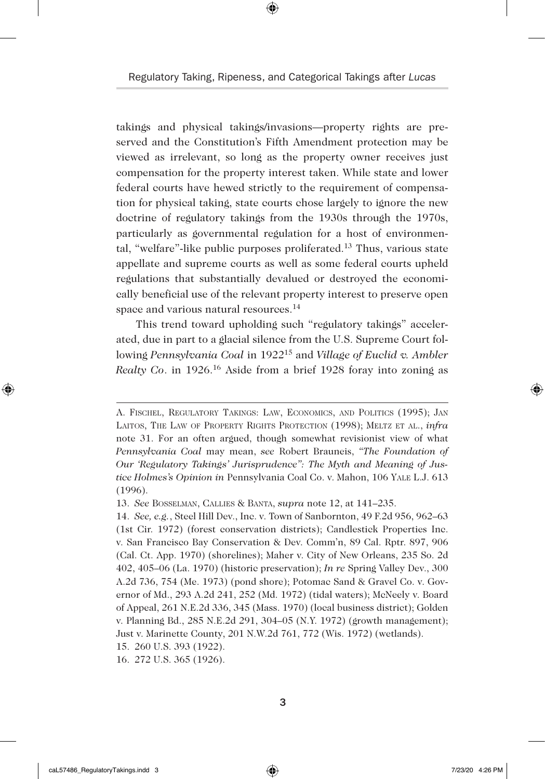⊕

takings and physical takings/invasions—property rights are preserved and the Constitution's Fifth Amendment protection may be viewed as irrelevant, so long as the property owner receives just compensation for the property interest taken. While state and lower federal courts have hewed strictly to the requirement of compensation for physical taking, state courts chose largely to ignore the new doctrine of regulatory takings from the 1930s through the 1970s, particularly as governmental regulation for a host of environmental, "welfare"-like public purposes proliferated.13 Thus, various state appellate and supreme courts as well as some federal courts upheld regulations that substantially devalued or destroyed the economically beneficial use of the relevant property interest to preserve open space and various natural resources.<sup>14</sup>

This trend toward upholding such "regulatory takings" accelerated, due in part to a glacial silence from the U.S. Supreme Court following *Pennsylvania Coal* in 192215 and *Village of Euclid v. Ambler Realty Co*. in 1926.16 Aside from a brief 1928 foray into zoning as

◈

A. Fischel, Regulatory Takings: Law, Economics, and Politics (1995); Jan Laitos, The Law of Property Rights Protection (1998); Meltz et al., *infra*  note 31. For an often argued, though somewhat revisionist view of what *Pennsylvania Coal* may mean, *see* Robert Brauneis, *"The Foundation of Our 'Regulatory Takings' Jurisprudence": The Myth and Meaning of Justice Holmes's Opinion in* Pennsylvania Coal Co. v. Mahon, 106 Yale L.J. 613 (1996).

<sup>13.</sup> *See* Bosselman, Callies & Banta, *supra* note 12, at 141–235.

<sup>14.</sup> *See, e.g.*, Steel Hill Dev., Inc. v. Town of Sanbornton, 49 F.2d 956, 962–63 (1st Cir. 1972) (forest conservation districts); Candlestick Properties Inc. v. San Francisco Bay Conservation & Dev. Comm'n, 89 Cal. Rptr. 897, 906 (Cal. Ct. App. 1970) (shorelines); Maher v. City of New Orleans, 235 So. 2d 402, 405–06 (La. 1970) (historic preservation); *In re* Spring Valley Dev., 300 A.2d 736, 754 (Me. 1973) (pond shore); Potomac Sand & Gravel Co. v. Governor of Md., 293 A.2d 241, 252 (Md. 1972) (tidal waters); McNeely v. Board of Appeal, 261 N.E.2d 336, 345 (Mass. 1970) (local business district); Golden v. Planning Bd., 285 N.E.2d 291, 304–05 (N.Y. 1972) (growth management); Just v. Marinette County, 201 N.W.2d 761, 772 (Wis. 1972) (wetlands). 15. 260 U.S. 393 (1922).

<sup>16.</sup> 272 U.S. 365 (1926).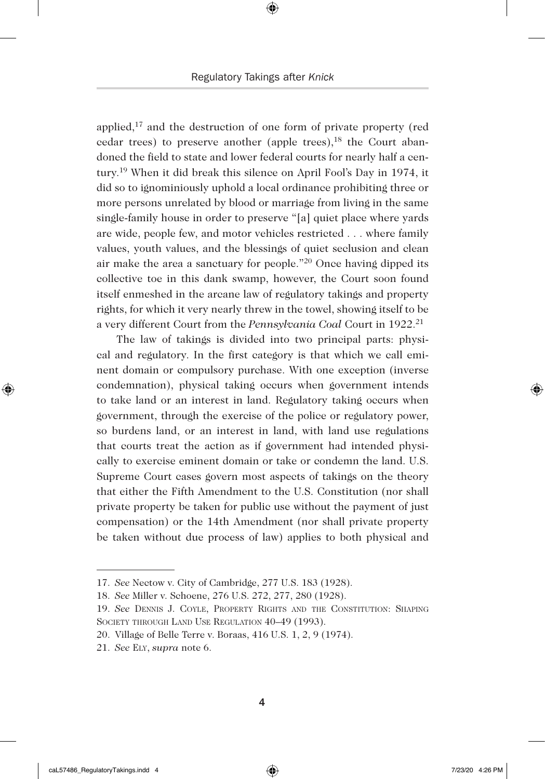applied,17 and the destruction of one form of private property (red cedar trees) to preserve another (apple trees), $^{18}$  the Court abandoned the field to state and lower federal courts for nearly half a century.19 When it did break this silence on April Fool's Day in 1974, it did so to ignominiously uphold a local ordinance prohibiting three or more persons unrelated by blood or marriage from living in the same single-family house in order to preserve "[a] quiet place where yards are wide, people few, and motor vehicles restricted . . . where family values, youth values, and the blessings of quiet seclusion and clean air make the area a sanctuary for people."20 Once having dipped its collective toe in this dank swamp, however, the Court soon found itself enmeshed in the arcane law of regulatory takings and property rights, for which it very nearly threw in the towel, showing itself to be a very different Court from the *Pennsylvania Coal* Court in 1922.21

The law of takings is divided into two principal parts: physical and regulatory. In the first category is that which we call eminent domain or compulsory purchase. With one exception (inverse condemnation), physical taking occurs when government intends to take land or an interest in land. Regulatory taking occurs when government, through the exercise of the police or regulatory power, so burdens land, or an interest in land, with land use regulations that courts treat the action as if government had intended physically to exercise eminent domain or take or condemn the land. U.S. Supreme Court cases govern most aspects of takings on the theory that either the Fifth Amendment to the U.S. Constitution (nor shall private property be taken for public use without the payment of just compensation) or the 14th Amendment (nor shall private property be taken without due process of law) applies to both physical and

◈

<sup>17.</sup> *See* Nectow v. City of Cambridge, 277 U.S. 183 (1928).

<sup>18.</sup> *See* Miller v. Schoene, 276 U.S. 272, 277, 280 (1928).

<sup>19.</sup> *See* Dennis J. Coyle, Property Rights and the Constitution: Shaping SOCIETY THROUGH LAND USE REGULATION  $40-49$  (1993).

<sup>20.</sup> Village of Belle Terre v. Boraas, 416 U.S. 1, 2, 9 (1974).

<sup>21.</sup> *See* Ely, *supra* note 6.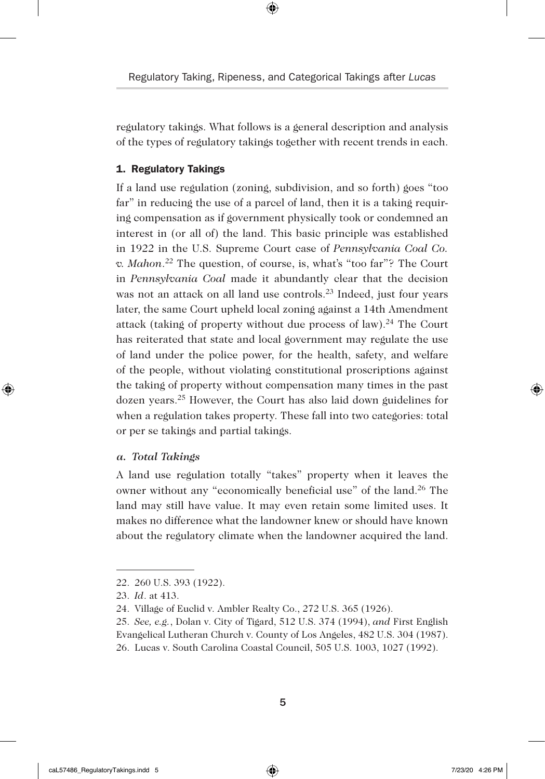⊕

regulatory takings. What follows is a general description and analysis of the types of regulatory takings together with recent trends in each.

#### 1. Regulatory Takings

If a land use regulation (zoning, subdivision, and so forth) goes "too far" in reducing the use of a parcel of land, then it is a taking requiring compensation as if government physically took or condemned an interest in (or all of) the land. This basic principle was established in 1922 in the U.S. Supreme Court case of *Pennsylvania Coal Co. v. Mahon*. 22 The question, of course, is, what's "too far"? The Court in *Pennsylvania Coal* made it abundantly clear that the decision was not an attack on all land use controls.<sup>23</sup> Indeed, just four years later, the same Court upheld local zoning against a 14th Amendment attack (taking of property without due process of law).<sup>24</sup> The Court has reiterated that state and local government may regulate the use of land under the police power, for the health, safety, and welfare of the people, without violating constitutional proscriptions against the taking of property without compensation many times in the past dozen years.25 However, the Court has also laid down guidelines for when a regulation takes property. These fall into two categories: total or per se takings and partial takings.

#### *a. Total Takings*

◈

A land use regulation totally "takes" property when it leaves the owner without any "economically beneficial use" of the land.26 The land may still have value. It may even retain some limited uses. It makes no difference what the landowner knew or should have known about the regulatory climate when the landowner acquired the land.

<sup>22.</sup> 260 U.S. 393 (1922).

<sup>23.</sup> *Id*. at 413.

<sup>24.</sup> Village of Euclid v. Ambler Realty Co., 272 U.S. 365 (1926).

<sup>25.</sup> *See, e.g.*, Dolan v. City of Tigard, 512 U.S. 374 (1994), *and* First English Evangelical Lutheran Church v. County of Los Angeles, 482 U.S. 304 (1987). 26. Lucas v. South Carolina Coastal Council, 505 U.S. 1003, 1027 (1992).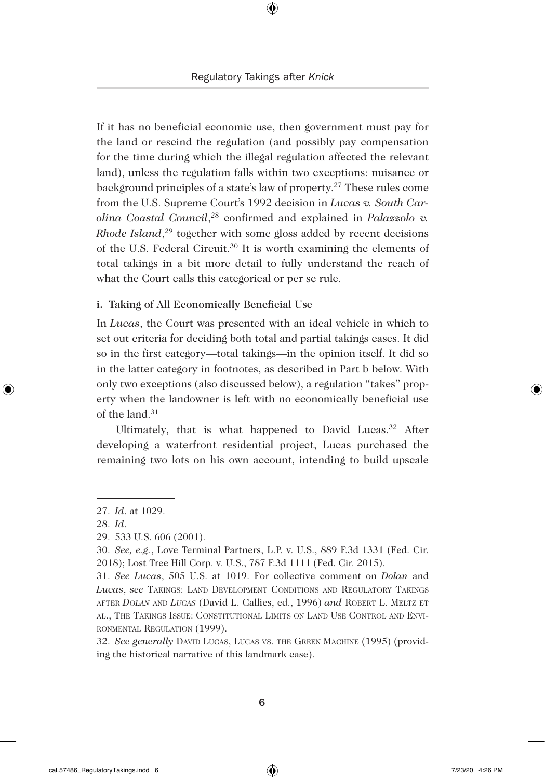If it has no beneficial economic use, then government must pay for the land or rescind the regulation (and possibly pay compensation for the time during which the illegal regulation affected the relevant land), unless the regulation falls within two exceptions: nuisance or background principles of a state's law of property.27 These rules come from the U.S. Supreme Court's 1992 decision in *Lucas v. South Carolina Coastal Council*, 28 confirmed and explained in *Palazzolo v. Rhode Island*, 29 together with some gloss added by recent decisions of the U.S. Federal Circuit.30 It is worth examining the elements of total takings in a bit more detail to fully understand the reach of what the Court calls this categorical or per se rule.

#### i. Taking of All Economically Beneficial Use

In *Lucas*, the Court was presented with an ideal vehicle in which to set out criteria for deciding both total and partial takings cases. It did so in the first category—total takings—in the opinion itself. It did so in the latter category in footnotes, as described in Part b below. With only two exceptions (also discussed below), a regulation "takes" property when the landowner is left with no economically beneficial use of the land.31

Ultimately, that is what happened to David Lucas. $32$  After developing a waterfront residential project, Lucas purchased the remaining two lots on his own account, intending to build upscale

◈

32. *See generally* David Lucas, Lucas vs. the Green Machine (1995) (providing the historical narrative of this landmark case).

<sup>27.</sup> *Id*. at 1029.

<sup>28.</sup> *Id*.

<sup>29.</sup> 533 U.S. 606 (2001).

<sup>30.</sup> *See, e.g.*, Love Terminal Partners, L.P. v. U.S., 889 F.3d 1331 (Fed. Cir. 2018); Lost Tree Hill Corp. v. U.S., 787 F.3d 1111 (Fed. Cir. 2015).

<sup>31.</sup> *See Lucas*, 505 U.S. at 1019. For collective comment on *Dolan* and *Lucas*, *see* Takings: Land Development Conditions and Regulatory Takings after *Dolan* and *Lucas* (David L. Callies, ed., 1996) *and* Robert L. Meltz et al., The Takings Issue: Constitutional Limits on Land Use Control and Environmental Regulation (1999).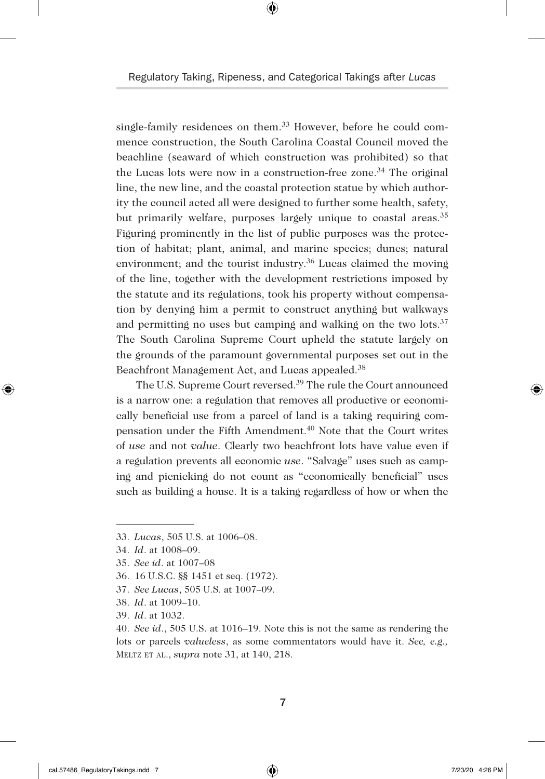⊕

single-family residences on them.<sup>33</sup> However, before he could commence construction, the South Carolina Coastal Council moved the beachline (seaward of which construction was prohibited) so that the Lucas lots were now in a construction-free zone.<sup>34</sup> The original line, the new line, and the coastal protection statue by which authority the council acted all were designed to further some health, safety, but primarily welfare, purposes largely unique to coastal areas.<sup>35</sup> Figuring prominently in the list of public purposes was the protection of habitat; plant, animal, and marine species; dunes; natural environment; and the tourist industry.<sup>36</sup> Lucas claimed the moving of the line, together with the development restrictions imposed by the statute and its regulations, took his property without compensation by denying him a permit to construct anything but walkways and permitting no uses but camping and walking on the two lots.<sup>37</sup> The South Carolina Supreme Court upheld the statute largely on the grounds of the paramount governmental purposes set out in the Beachfront Management Act, and Lucas appealed.38

The U.S. Supreme Court reversed.39 The rule the Court announced is a narrow one: a regulation that removes all productive or economically beneficial use from a parcel of land is a taking requiring compensation under the Fifth Amendment.40 Note that the Court writes of *use* and not *value*. Clearly two beachfront lots have value even if a regulation prevents all economic *use*. "Salvage" uses such as camping and picnicking do not count as "economically beneficial" uses such as building a house. It is a taking regardless of how or when the

◈

<sup>33.</sup> *Lucas*, 505 U.S. at 1006–08.

<sup>34.</sup> *Id*. at 1008–09.

<sup>35.</sup> *See id*. at 1007–08

<sup>36.</sup> 16 U.S.C. §§ 1451 et seq. (1972).

<sup>37.</sup> *See Lucas*, 505 U.S. at 1007–09.

<sup>38.</sup> *Id*. at 1009–10.

<sup>39.</sup> *Id*. at 1032.

<sup>40.</sup> *See id*., 505 U.S. at 1016–19. Note this is not the same as rendering the lots or parcels *valueless*, as some commentators would have it. *See, e.g.,*  Meltz et al., *supra* note 31, at 140, 218.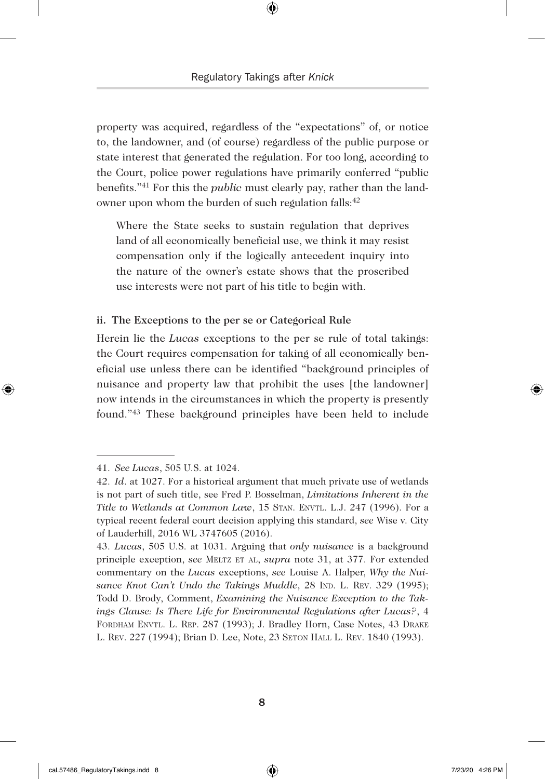property was acquired, regardless of the "expectations" of, or notice to, the landowner, and (of course) regardless of the public purpose or state interest that generated the regulation. For too long, according to the Court, police power regulations have primarily conferred "public benefits."41 For this the *public* must clearly pay, rather than the landowner upon whom the burden of such regulation falls:<sup>42</sup>

Where the State seeks to sustain regulation that deprives land of all economically beneficial use, we think it may resist compensation only if the logically antecedent inquiry into the nature of the owner's estate shows that the proscribed use interests were not part of his title to begin with.

#### ii. The Exceptions to the per se or Categorical Rule

Herein lie the *Lucas* exceptions to the per se rule of total takings: the Court requires compensation for taking of all economically beneficial use unless there can be identified "background principles of nuisance and property law that prohibit the uses [the landowner] now intends in the circumstances in which the property is presently found."<sup>43</sup> These background principles have been held to include

◈

<sup>41.</sup> *See Lucas*, 505 U.S. at 1024.

<sup>42.</sup> *Id*. at 1027. For a historical argument that much private use of wetlands is not part of such title, see Fred P. Bosselman, *Limitations Inherent in the Title to Wetlands at Common Law, 15 STAN. ENVTL. L.J. 247 (1996). For a* typical recent federal court decision applying this standard, *see* Wise v. City of Lauderhill, 2016 WL 3747605 (2016).

<sup>43.</sup> *Lucas*, 505 U.S. at 1031. Arguing that *only nuisance* is a background principle exception, *see* Meltz et al, *supra* note 31, at 377. For extended commentary on the *Lucas* exceptions, *see* Louise A. Halper, *Why the Nui*sance Knot Can't Undo the Takings Muddle, 28 Inp. L. Rev. 329 (1995); Todd D. Brody, Comment, *Examining the Nuisance Exception to the Takings Clause: Is There Life for Environmental Regulations after Lucas?*, 4 Fordham Envtl. L. Rep. 287 (1993); J. Bradley Horn, Case Notes, 43 Drake L. Rev. 227 (1994); Brian D. Lee, Note, 23 Seton Hall L. Rev. 1840 (1993).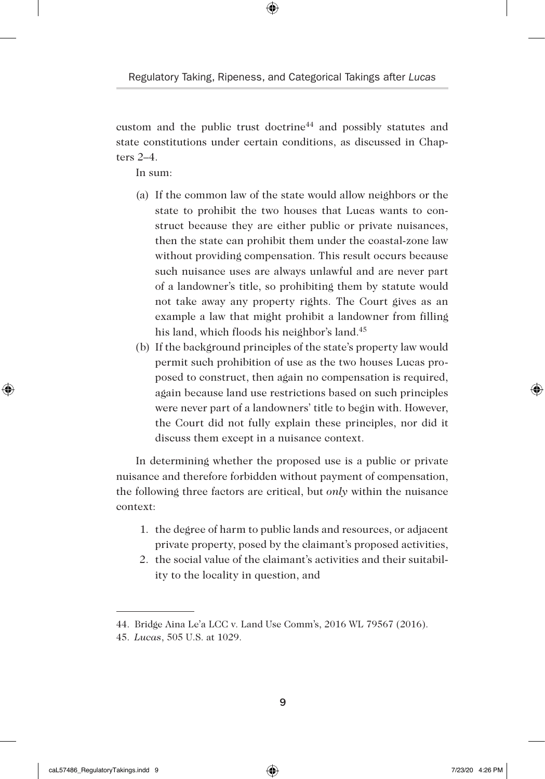⊕

custom and the public trust doctrine44 and possibly statutes and state constitutions under certain conditions, as discussed in Chapters  $2-4$ .

In sum:

- (a) If the common law of the state would allow neighbors or the state to prohibit the two houses that Lucas wants to construct because they are either public or private nuisances, then the state can prohibit them under the coastal-zone law without providing compensation. This result occurs because such nuisance uses are always unlawful and are never part of a landowner's title, so prohibiting them by statute would not take away any property rights. The Court gives as an example a law that might prohibit a landowner from filling his land, which floods his neighbor's land.45
- (b) If the background principles of the state's property law would permit such prohibition of use as the two houses Lucas proposed to construct, then again no compensation is required, again because land use restrictions based on such principles were never part of a landowners' title to begin with. However, the Court did not fully explain these principles, nor did it discuss them except in a nuisance context.

In determining whether the proposed use is a public or private nuisance and therefore forbidden without payment of compensation, the following three factors are critical, but *only* within the nuisance context:

- 1. the degree of harm to public lands and resources, or adjacent private property, posed by the claimant's proposed activities,
- 2. the social value of the claimant's activities and their suitability to the locality in question, and

◈

<sup>44.</sup> Bridge Aina Le'a LCC v. Land Use Comm's, 2016 WL 79567 (2016).

<sup>45.</sup> *Lucas*, 505 U.S. at 1029.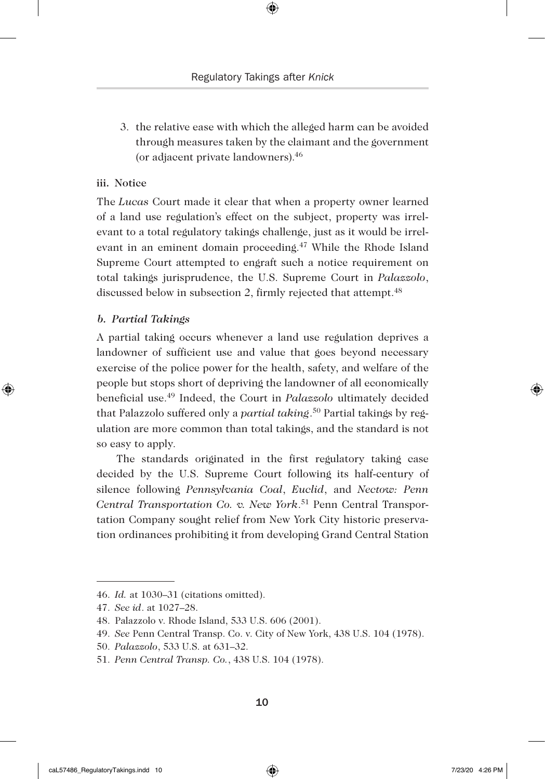3. the relative ease with which the alleged harm can be avoided through measures taken by the claimant and the government (or adjacent private landowners).46

#### iii. Notice

The *Lucas* Court made it clear that when a property owner learned of a land use regulation's effect on the subject, property was irrelevant to a total regulatory takings challenge, just as it would be irrelevant in an eminent domain proceeding.<sup>47</sup> While the Rhode Island Supreme Court attempted to engraft such a notice requirement on total takings jurisprudence, the U.S. Supreme Court in *Palazzolo*, discussed below in subsection 2, firmly rejected that attempt.<sup>48</sup>

#### *b. Partial Takings*

◈

A partial taking occurs whenever a land use regulation deprives a landowner of sufficient use and value that goes beyond necessary exercise of the police power for the health, safety, and welfare of the people but stops short of depriving the landowner of all economically beneficial use.49 Indeed, the Court in *Palazzolo* ultimately decided that Palazzolo suffered only a *partial taking*. 50 Partial takings by regulation are more common than total takings, and the standard is not so easy to apply.

The standards originated in the first regulatory taking case decided by the U.S. Supreme Court following its half-century of silence following *Pennsylvania Coal*, *Euclid*, and *Nectow: Penn Central Transportation Co. v. New York*. 51 Penn Central Transportation Company sought relief from New York City historic preservation ordinances prohibiting it from developing Grand Central Station

<sup>46.</sup> *Id.* at 1030–31 (citations omitted).

<sup>47.</sup> *See id*. at 1027–28.

<sup>48.</sup> Palazzolo v. Rhode Island, 533 U.S. 606 (2001).

<sup>49.</sup> *See* Penn Central Transp. Co. v. City of New York, 438 U.S. 104 (1978).

<sup>50.</sup> *Palazzolo*, 533 U.S. at 631–32.

<sup>51.</sup> *Penn Central Transp. Co.*, 438 U.S. 104 (1978).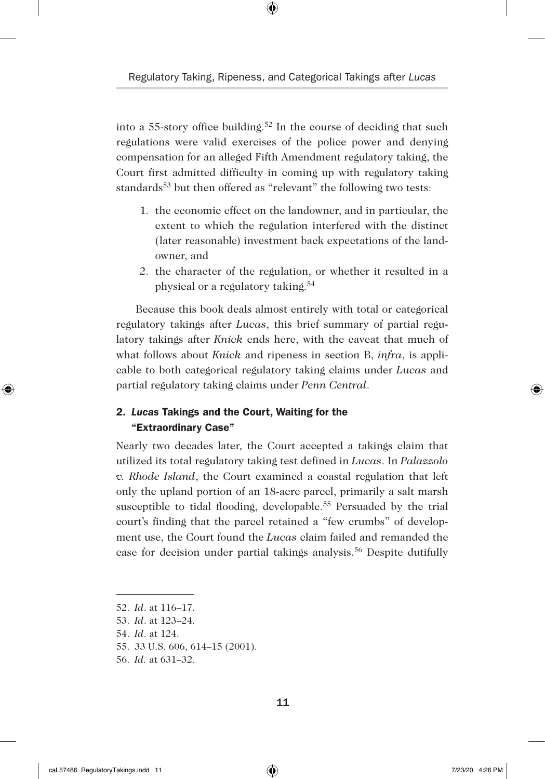⊕

into a 55-story office building.<sup>52</sup> In the course of deciding that such regulations were valid exercises of the police power and denying compensation for an alleged Fifth Amendment regulatory taking, the Court first admitted difficulty in coming up with regulatory taking standards<sup>53</sup> but then offered as "relevant" the following two tests:

- 1. the economic effect on the landowner, and in particular, the extent to which the regulation interfered with the distinct (later reasonable) investment back expectations of the landowner, and
- 2. the character of the regulation, or whether it resulted in a physical or a regulatory taking.54

Because this book deals almost entirely with total or categorical regulatory takings after *Lucas*, this brief summary of partial regulatory takings after *Knick* ends here, with the caveat that much of what follows about *Knick* and ripeness in section B, *infra*, is applicable to both categorical regulatory taking claims under *Lucas* and partial regulatory taking claims under *Penn Central*.

## 2. *Lucas* Takings and the Court, Waiting for the "Extraordinary Case"

Nearly two decades later, the Court accepted a takings claim that utilized its total regulatory taking test defined in *Lucas*. In *Palazzolo v. Rhode Island*, the Court examined a coastal regulation that left only the upland portion of an 18-acre parcel, primarily a salt marsh susceptible to tidal flooding, developable.<sup>55</sup> Persuaded by the trial court's finding that the parcel retained a "few crumbs" of development use, the Court found the *Lucas* claim failed and remanded the case for decision under partial takings analysis.56 Despite dutifully

- 52. *Id*. at 116–17.
- 53. *Id*. at 123–24.
- 54. *Id*. at 124.
- 55. 33 U.S. 606, 614–15 (2001).
- 56. *Id.* at 631–32.

◈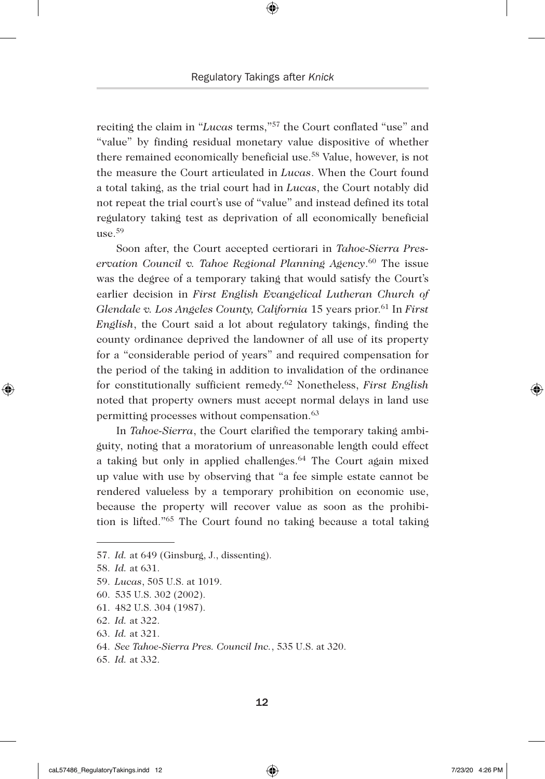reciting the claim in "*Lucas* terms,"57 the Court conflated "use" and "value" by finding residual monetary value dispositive of whether there remained economically beneficial use.58 Value, however, is not the measure the Court articulated in *Lucas*. When the Court found a total taking, as the trial court had in *Lucas*, the Court notably did not repeat the trial court's use of "value" and instead defined its total regulatory taking test as deprivation of all economically beneficial use. $59$ 

Soon after, the Court accepted certiorari in *Tahoe-Sierra Preservation Council v. Tahoe Regional Planning Agency*. 60 The issue was the degree of a temporary taking that would satisfy the Court's earlier decision in *First English Evangelical Lutheran Church of Glendale v. Los Angeles County, California* 15 years prior.61 In *First English*, the Court said a lot about regulatory takings, finding the county ordinance deprived the landowner of all use of its property for a "considerable period of years" and required compensation for the period of the taking in addition to invalidation of the ordinance for constitutionally sufficient remedy.62 Nonetheless, *First English* noted that property owners must accept normal delays in land use permitting processes without compensation.<sup>63</sup>

In *Tahoe-Sierra*, the Court clarified the temporary taking ambiguity, noting that a moratorium of unreasonable length could effect a taking but only in applied challenges.<sup>64</sup> The Court again mixed up value with use by observing that "a fee simple estate cannot be rendered valueless by a temporary prohibition on economic use, because the property will recover value as soon as the prohibition is lifted."65 The Court found no taking because a total taking

◈

<sup>57.</sup> *Id.* at 649 (Ginsburg, J., dissenting).

<sup>58.</sup> *Id.* at 631.

<sup>59.</sup> *Lucas*, 505 U.S. at 1019.

<sup>60.</sup> 535 U.S. 302 (2002).

<sup>61.</sup> 482 U.S. 304 (1987).

<sup>62.</sup> *Id.* at 322.

<sup>63.</sup> *Id.* at 321.

<sup>64.</sup> *See Tahoe-Sierra Pres. Council Inc.*, 535 U.S. at 320.

<sup>65.</sup> *Id.* at 332.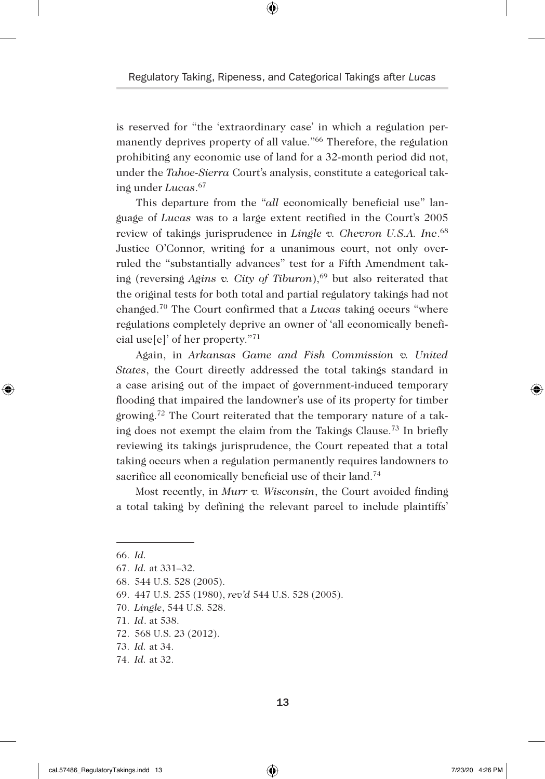is reserved for "the 'extraordinary case' in which a regulation permanently deprives property of all value."<sup>66</sup> Therefore, the regulation prohibiting any economic use of land for a 32-month period did not, under the *Tahoe-Sierra* Court's analysis, constitute a categorical taking under *Lucas*. 67

This departure from the "*all* economically beneficial use" language of *Lucas* was to a large extent rectified in the Court's 2005 review of takings jurisprudence in *Lingle v. Chevron U.S.A. Inc*. 68 Justice O'Connor, writing for a unanimous court, not only overruled the "substantially advances" test for a Fifth Amendment taking (reversing *Agins v. City of Tiburon*),<sup>69</sup> but also reiterated that the original tests for both total and partial regulatory takings had not changed.70 The Court confirmed that a *Lucas* taking occurs "where regulations completely deprive an owner of 'all economically beneficial use[e]' of her property."71

Again, in *Arkansas Game and Fish Commission v. United States*, the Court directly addressed the total takings standard in a case arising out of the impact of government-induced temporary flooding that impaired the landowner's use of its property for timber growing.<sup>72</sup> The Court reiterated that the temporary nature of a taking does not exempt the claim from the Takings Clause.73 In briefly reviewing its takings jurisprudence, the Court repeated that a total taking occurs when a regulation permanently requires landowners to sacrifice all economically beneficial use of their land.<sup>74</sup>

Most recently, in *Murr v. Wisconsin*, the Court avoided finding a total taking by defining the relevant parcel to include plaintiffs'

◈

<sup>66.</sup> *Id.*

<sup>67.</sup> *Id.* at 331–32.

<sup>68.</sup> 544 U.S. 528 (2005).

<sup>69.</sup> 447 U.S. 255 (1980), *rev'd* 544 U.S. 528 (2005).

<sup>70.</sup> *Lingle*, 544 U.S. 528.

<sup>71.</sup> *Id*. at 538.

<sup>72.</sup> 568 U.S. 23 (2012).

<sup>73.</sup> *Id.* at 34.

<sup>74.</sup> *Id.* at 32.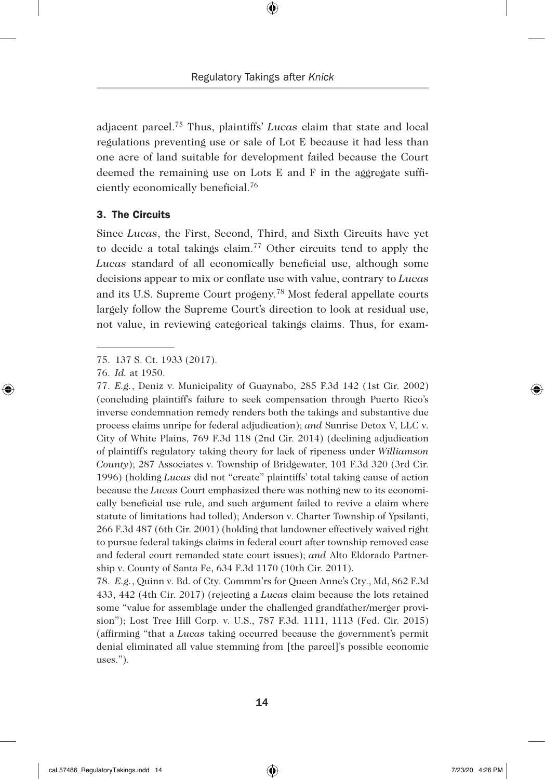adjacent parcel.75 Thus, plaintiffs' *Lucas* claim that state and local regulations preventing use or sale of Lot E because it had less than one acre of land suitable for development failed because the Court deemed the remaining use on Lots E and F in the aggregate sufficiently economically beneficial.76

#### 3. The Circuits

Since *Lucas*, the First, Second, Third, and Sixth Circuits have yet to decide a total takings claim.77 Other circuits tend to apply the *Lucas* standard of all economically beneficial use, although some decisions appear to mix or conflate use with value, contrary to *Lucas* and its U.S. Supreme Court progeny.78 Most federal appellate courts largely follow the Supreme Court's direction to look at residual use, not value, in reviewing categorical takings claims. Thus, for exam-

◈

78. *E.g.*, Quinn v. Bd. of Cty. Commm'rs for Queen Anne's Cty., Md, 862 F.3d 433, 442 (4th Cir. 2017) (rejecting a *Lucas* claim because the lots retained some "value for assemblage under the challenged grandfather/merger provision"); Lost Tree Hill Corp. v. U.S., 787 F.3d. 1111, 1113 (Fed. Cir. 2015) (affirming "that a *Lucas* taking occurred because the government's permit denial eliminated all value stemming from [the parcel]'s possible economic uses.").

<sup>75.</sup> 137 S. Ct. 1933 (2017).

<sup>76.</sup> *Id.* at 1950.

<sup>77.</sup> *E.g.*, Deniz v. Municipality of Guaynabo, 285 F.3d 142 (1st Cir. 2002) (concluding plaintiff's failure to seek compensation through Puerto Rico's inverse condemnation remedy renders both the takings and substantive due process claims unripe for federal adjudication); *and* Sunrise Detox V, LLC v. City of White Plains, 769 F.3d 118 (2nd Cir. 2014) (declining adjudication of plaintiff's regulatory taking theory for lack of ripeness under *Williamson County*); 287 Associates v. Township of Bridgewater, 101 F.3d 320 (3rd Cir. 1996) (holding *Lucas* did not "create" plaintiffs' total taking cause of action because the *Lucas* Court emphasized there was nothing new to its economically beneficial use rule, and such argument failed to revive a claim where statute of limitations had tolled); Anderson v. Charter Township of Ypsilanti, 266 F.3d 487 (6th Cir. 2001) (holding that landowner effectively waived right to pursue federal takings claims in federal court after township removed case and federal court remanded state court issues); *and* Alto Eldorado Partnership v. County of Santa Fe, 634 F.3d 1170 (10th Cir. 2011).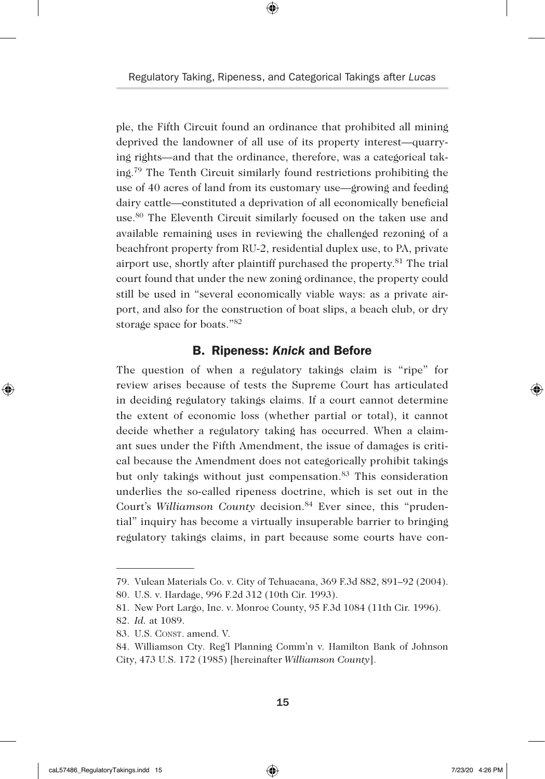⊕

ple, the Fifth Circuit found an ordinance that prohibited all mining deprived the landowner of all use of its property interest—quarrying rights—and that the ordinance, therefore, was a categorical taking.79 The Tenth Circuit similarly found restrictions prohibiting the use of 40 acres of land from its customary use—growing and feeding dairy cattle—constituted a deprivation of all economically beneficial use.80 The Eleventh Circuit similarly focused on the taken use and available remaining uses in reviewing the challenged rezoning of a beachfront property from RU-2, residential duplex use, to PA, private airport use, shortly after plaintiff purchased the property.81 The trial court found that under the new zoning ordinance, the property could still be used in "several economically viable ways: as a private airport, and also for the construction of boat slips, a beach club, or dry storage space for boats."82

#### B. Ripeness: *Knick* and Before

The question of when a regulatory takings claim is "ripe" for review arises because of tests the Supreme Court has articulated in deciding regulatory takings claims. If a court cannot determine the extent of economic loss (whether partial or total), it cannot decide whether a regulatory taking has occurred. When a claimant sues under the Fifth Amendment, the issue of damages is critical because the Amendment does not categorically prohibit takings but only takings without just compensation.<sup>83</sup> This consideration underlies the so-called ripeness doctrine, which is set out in the Court's *Williamson County* decision.<sup>84</sup> Ever since, this "prudential" inquiry has become a virtually insuperable barrier to bringing regulatory takings claims, in part because some courts have con-

◈

<sup>79.</sup> Vulcan Materials Co. v. City of Tehuacana, 369 F.3d 882, 891–92 (2004).

<sup>80.</sup> U.S. v. Hardage, 996 F.2d 312 (10th Cir. 1993).

<sup>81.</sup> New Port Largo, Inc. v. Monroe County, 95 F.3d 1084 (11th Cir. 1996).

<sup>82.</sup> *Id.* at 1089.

<sup>83.</sup> U.S. CONST. amend. V.

<sup>84.</sup> Williamson Cty. Reg'l Planning Comm'n v. Hamilton Bank of Johnson City, 473 U.S. 172 (1985) [hereinafter *Williamson County*].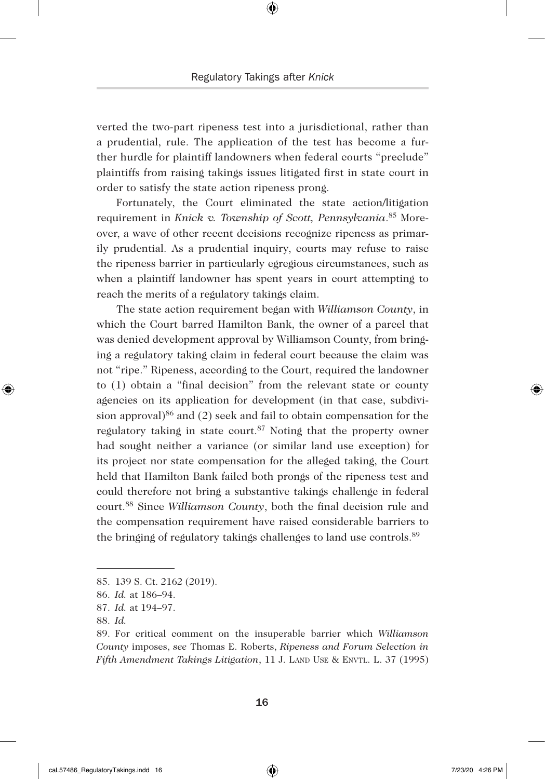verted the two-part ripeness test into a jurisdictional, rather than a prudential, rule. The application of the test has become a further hurdle for plaintiff landowners when federal courts "preclude" plaintiffs from raising takings issues litigated first in state court in order to satisfy the state action ripeness prong.

Fortunately, the Court eliminated the state action/litigation requirement in *Knick v. Township of Scott, Pennsylvania*. 85 Moreover, a wave of other recent decisions recognize ripeness as primarily prudential. As a prudential inquiry, courts may refuse to raise the ripeness barrier in particularly egregious circumstances, such as when a plaintiff landowner has spent years in court attempting to reach the merits of a regulatory takings claim.

The state action requirement began with *Williamson County*, in which the Court barred Hamilton Bank, the owner of a parcel that was denied development approval by Williamson County, from bringing a regulatory taking claim in federal court because the claim was not "ripe." Ripeness, according to the Court, required the landowner to (1) obtain a "final decision" from the relevant state or county agencies on its application for development (in that case, subdivision approval) $86$  and (2) seek and fail to obtain compensation for the regulatory taking in state court.<sup>87</sup> Noting that the property owner had sought neither a variance (or similar land use exception) for its project nor state compensation for the alleged taking, the Court held that Hamilton Bank failed both prongs of the ripeness test and could therefore not bring a substantive takings challenge in federal court.88 Since *Williamson County*, both the final decision rule and the compensation requirement have raised considerable barriers to the bringing of regulatory takings challenges to land use controls.<sup>89</sup>

◈

<sup>85.</sup> 139 S. Ct. 2162 (2019).

<sup>86.</sup> *Id.* at 186–94.

<sup>87.</sup> *Id.* at 194–97.

<sup>88.</sup> *Id.* 

<sup>89.</sup> For critical comment on the insuperable barrier which *Williamson County* imposes, *see* Thomas E. Roberts, *Ripeness and Forum Selection in Fifth Amendment Takings Litigation*, 11 J. LAND USE & ENVTL. L. 37 (1995)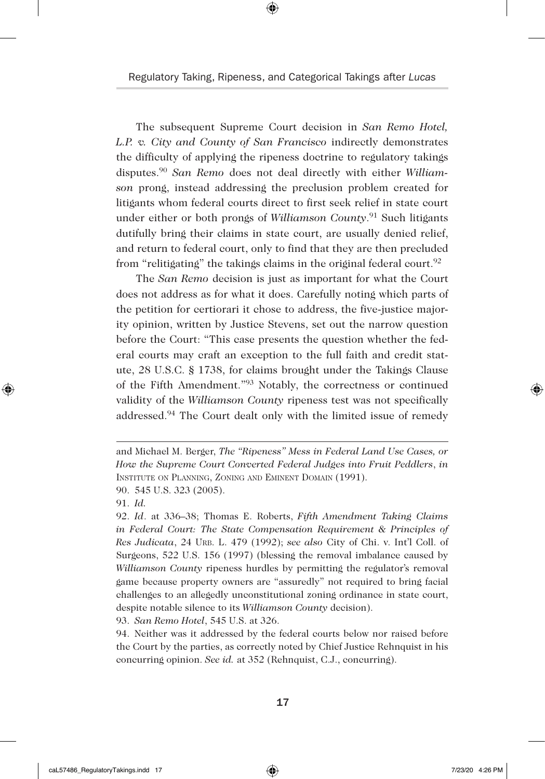The subsequent Supreme Court decision in *San Remo Hotel, L.P. v. City and County of San Francisco* indirectly demonstrates the difficulty of applying the ripeness doctrine to regulatory takings disputes.90 *San Remo* does not deal directly with either *Williamson* prong, instead addressing the preclusion problem created for litigants whom federal courts direct to first seek relief in state court under either or both prongs of *Williamson County*. 91 Such litigants dutifully bring their claims in state court, are usually denied relief, and return to federal court, only to find that they are then precluded from "relitigating" the takings claims in the original federal court.<sup>92</sup>

The *San Remo* decision is just as important for what the Court does not address as for what it does. Carefully noting which parts of the petition for certiorari it chose to address, the five-justice majority opinion, written by Justice Stevens, set out the narrow question before the Court: "This case presents the question whether the federal courts may craft an exception to the full faith and credit statute, 28 U.S.C. § 1738, for claims brought under the Takings Clause of the Fifth Amendment."93 Notably, the correctness or continued validity of the *Williamson County* ripeness test was not specifically addressed.94 The Court dealt only with the limited issue of remedy

90. 545 U.S. 323 (2005).

91. *Id.* 

◈

93. *San Remo Hotel*, 545 U.S. at 326.

94. Neither was it addressed by the federal courts below nor raised before the Court by the parties, as correctly noted by Chief Justice Rehnquist in his concurring opinion. *See id.* at 352 (Rehnquist, C.J., concurring).

and Michael M. Berger, *The "Ripeness" Mess in Federal Land Use Cases, or How the Supreme Court Converted Federal Judges into Fruit Peddlers*, *in* Institute on Planning, Zoning and Eminent Domain (1991).

<sup>92.</sup> *Id*. at 336–38; Thomas E. Roberts, *Fifth Amendment Taking Claims in Federal Court: The State Compensation Requirement & Principles of Res Judicata*, 24 Urb. L. 479 (1992); *see also* City of Chi. v. Int'l Coll. of Surgeons, 522 U.S. 156 (1997) (blessing the removal imbalance caused by *Williamson County* ripeness hurdles by permitting the regulator's removal game because property owners are "assuredly" not required to bring facial challenges to an allegedly unconstitutional zoning ordinance in state court, despite notable silence to its *Williamson County* decision).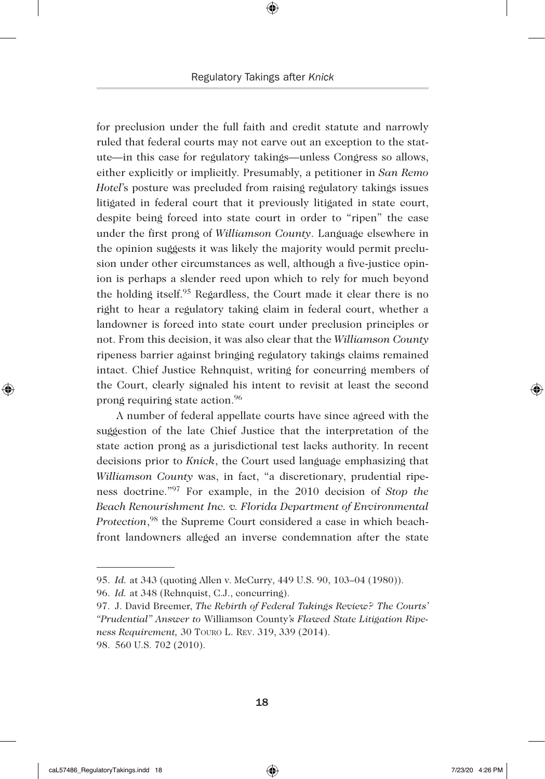for preclusion under the full faith and credit statute and narrowly ruled that federal courts may not carve out an exception to the statute—in this case for regulatory takings—unless Congress so allows, either explicitly or implicitly. Presumably, a petitioner in *San Remo Hotel*'s posture was precluded from raising regulatory takings issues litigated in federal court that it previously litigated in state court, despite being forced into state court in order to "ripen" the case under the first prong of *Williamson County*. Language elsewhere in the opinion suggests it was likely the majority would permit preclusion under other circumstances as well, although a five-justice opinion is perhaps a slender reed upon which to rely for much beyond the holding itself.95 Regardless, the Court made it clear there is no right to hear a regulatory taking claim in federal court, whether a landowner is forced into state court under preclusion principles or not. From this decision, it was also clear that the *Williamson County* ripeness barrier against bringing regulatory takings claims remained intact. Chief Justice Rehnquist, writing for concurring members of the Court, clearly signaled his intent to revisit at least the second prong requiring state action.96

A number of federal appellate courts have since agreed with the suggestion of the late Chief Justice that the interpretation of the state action prong as a jurisdictional test lacks authority. In recent decisions prior to *Knick*, the Court used language emphasizing that *Williamson County* was, in fact, "a discretionary, prudential ripeness doctrine."97 For example, in the 2010 decision of *Stop the Beach Renourishment Inc. v. Florida Department of Environmental Protection*, 98 the Supreme Court considered a case in which beachfront landowners alleged an inverse condemnation after the state

◈

<sup>95.</sup> *Id.* at 343 (quoting Allen v. McCurry, 449 U.S. 90, 103–04 (1980)).

<sup>96.</sup> *Id.* at 348 (Rehnquist, C.J., concurring).

<sup>97.</sup> J. David Breemer, *The Rebirth of Federal Takings Review? The Courts' "Prudential" Answer to* Williamson County*'s Flawed State Litigation Ripeness Requirement,* 30 Touro L. Rev. 319, 339 (2014). 98. 560 U.S. 702 (2010).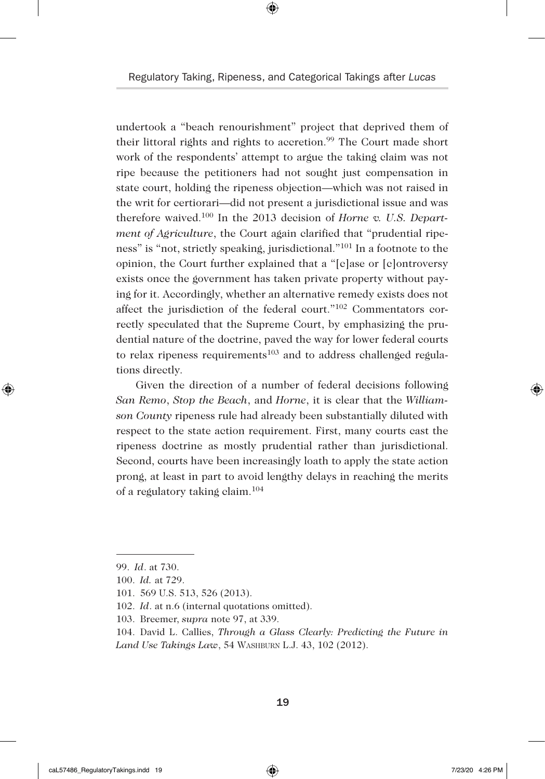⊕

undertook a "beach renourishment" project that deprived them of their littoral rights and rights to accretion.<sup>99</sup> The Court made short work of the respondents' attempt to argue the taking claim was not ripe because the petitioners had not sought just compensation in state court, holding the ripeness objection—which was not raised in the writ for certiorari—did not present a jurisdictional issue and was therefore waived.100 In the 2013 decision of *Horne v. U.S. Department of Agriculture*, the Court again clarified that "prudential ripeness" is "not, strictly speaking, jurisdictional."101 In a footnote to the opinion, the Court further explained that a "[c]ase or [c]ontroversy exists once the government has taken private property without paying for it. Accordingly, whether an alternative remedy exists does not affect the jurisdiction of the federal court."102 Commentators correctly speculated that the Supreme Court, by emphasizing the prudential nature of the doctrine, paved the way for lower federal courts to relax ripeness requirements<sup>103</sup> and to address challenged regulations directly.

Given the direction of a number of federal decisions following *San Remo*, *Stop the Beach*, and *Horne*, it is clear that the *Williamson County* ripeness rule had already been substantially diluted with respect to the state action requirement. First, many courts cast the ripeness doctrine as mostly prudential rather than jurisdictional. Second, courts have been increasingly loath to apply the state action prong, at least in part to avoid lengthy delays in reaching the merits of a regulatory taking claim.104

- 102. *Id*. at n.6 (internal quotations omitted).
- 103. Breemer, *supra* note 97, at 339.

◈

<sup>99.</sup> *Id*. at 730.

<sup>100.</sup> *Id.* at 729.

<sup>101.</sup> 569 U.S. 513, 526 (2013).

<sup>104.</sup> David L. Callies, *Through a Glass Clearly: Predicting the Future in Land Use Takings Law*, 54 Washburn L.J. 43, 102 (2012).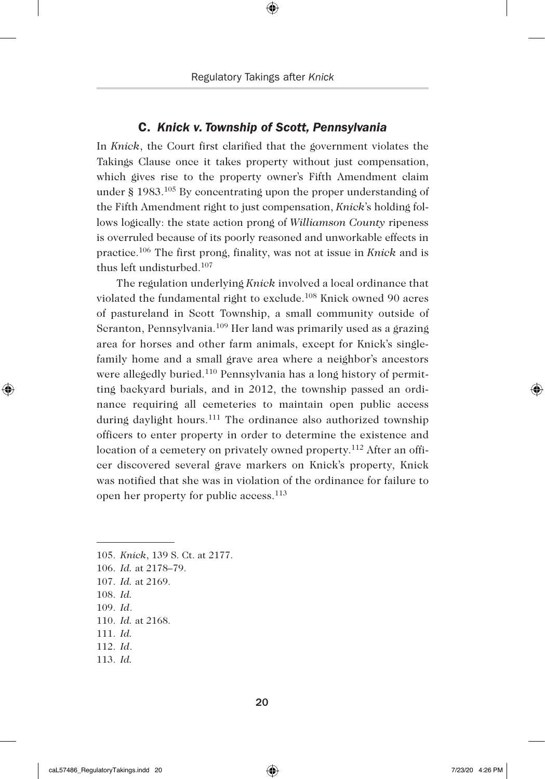#### C. *Knick v. Township of Scott, Pennsylvania*

In *Knick*, the Court first clarified that the government violates the Takings Clause once it takes property without just compensation, which gives rise to the property owner's Fifth Amendment claim under § 1983.105 By concentrating upon the proper understanding of the Fifth Amendment right to just compensation, *Knick*'s holding follows logically: the state action prong of *Williamson County* ripeness is overruled because of its poorly reasoned and unworkable effects in practice.106 The first prong, finality, was not at issue in *Knick* and is thus left undisturbed.107

The regulation underlying *Knick* involved a local ordinance that violated the fundamental right to exclude.108 Knick owned 90 acres of pastureland in Scott Township, a small community outside of Scranton, Pennsylvania.109 Her land was primarily used as a grazing area for horses and other farm animals, except for Knick's singlefamily home and a small grave area where a neighbor's ancestors were allegedly buried.110 Pennsylvania has a long history of permitting backyard burials, and in 2012, the township passed an ordinance requiring all cemeteries to maintain open public access during daylight hours.<sup>111</sup> The ordinance also authorized township officers to enter property in order to determine the existence and location of a cemetery on privately owned property.112 After an officer discovered several grave markers on Knick's property, Knick was notified that she was in violation of the ordinance for failure to open her property for public access.113

105. *Knick*, 139 S. Ct. at 2177. 106. *Id.* at 2178–79. 107. *Id.* at 2169. 108. *Id.* 109. *Id*. 110. *Id.* at 2168. 111. *Id.* 112. *Id*. 113. *Id.* 

◈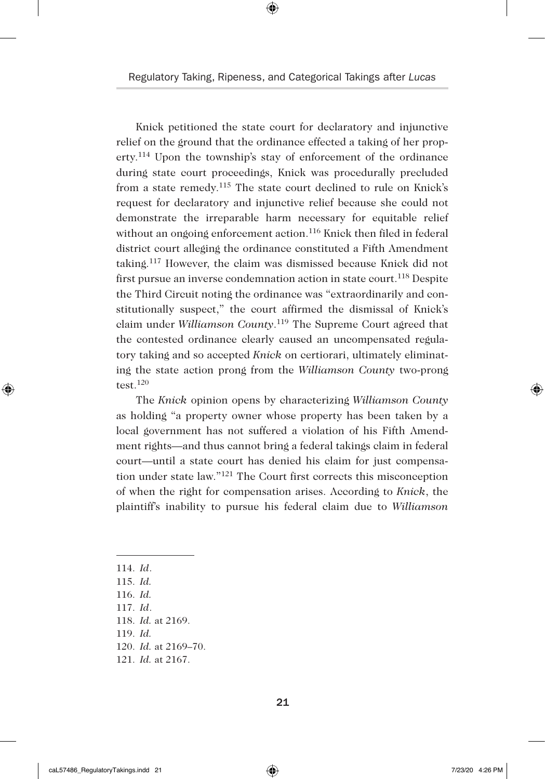⊕

Knick petitioned the state court for declaratory and injunctive relief on the ground that the ordinance effected a taking of her property.114 Upon the township's stay of enforcement of the ordinance during state court proceedings, Knick was procedurally precluded from a state remedy.115 The state court declined to rule on Knick's request for declaratory and injunctive relief because she could not demonstrate the irreparable harm necessary for equitable relief without an ongoing enforcement action.<sup>116</sup> Knick then filed in federal district court alleging the ordinance constituted a Fifth Amendment taking.117 However, the claim was dismissed because Knick did not first pursue an inverse condemnation action in state court.<sup>118</sup> Despite the Third Circuit noting the ordinance was "extraordinarily and constitutionally suspect," the court affirmed the dismissal of Knick's claim under *Williamson County*. 119 The Supreme Court agreed that the contested ordinance clearly caused an uncompensated regulatory taking and so accepted *Knick* on certiorari, ultimately eliminating the state action prong from the *Williamson County* two-prong test. $120$ 

The *Knick* opinion opens by characterizing *Williamson County* as holding "a property owner whose property has been taken by a local government has not suffered a violation of his Fifth Amendment rights—and thus cannot bring a federal takings claim in federal court—until a state court has denied his claim for just compensation under state law."121 The Court first corrects this misconception of when the right for compensation arises. According to *Knick*, the plaintiff's inability to pursue his federal claim due to *Williamson* 

114. *Id*.

◈

- 115. *Id.*
- 116. *Id.*
- 117. *Id*.

118. *Id.* at 2169.

119. *Id.*

- 120. *Id.* at 2169–70.
- 121. *Id.* at 2167.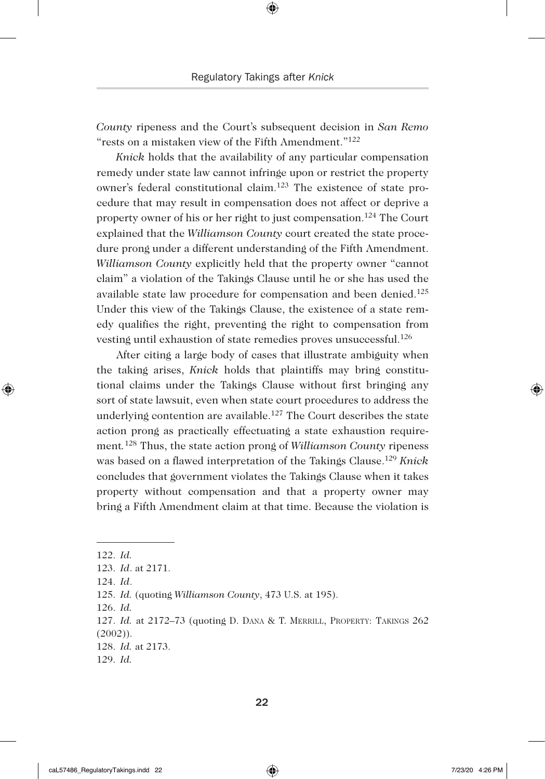*County* ripeness and the Court's subsequent decision in *San Remo* "rests on a mistaken view of the Fifth Amendment."122

*Knick* holds that the availability of any particular compensation remedy under state law cannot infringe upon or restrict the property owner's federal constitutional claim.123 The existence of state procedure that may result in compensation does not affect or deprive a property owner of his or her right to just compensation.124 The Court explained that the *Williamson County* court created the state procedure prong under a different understanding of the Fifth Amendment. *Williamson County* explicitly held that the property owner "cannot claim" a violation of the Takings Clause until he or she has used the available state law procedure for compensation and been denied.125 Under this view of the Takings Clause, the existence of a state remedy qualifies the right, preventing the right to compensation from vesting until exhaustion of state remedies proves unsuccessful.126

After citing a large body of cases that illustrate ambiguity when the taking arises, *Knick* holds that plaintiffs may bring constitutional claims under the Takings Clause without first bringing any sort of state lawsuit, even when state court procedures to address the underlying contention are available.<sup>127</sup> The Court describes the state action prong as practically effectuating a state exhaustion requirement*.* 128 Thus, the state action prong of *Williamson County* ripeness was based on a flawed interpretation of the Takings Clause.129 *Knick*  concludes that government violates the Takings Clause when it takes property without compensation and that a property owner may bring a Fifth Amendment claim at that time. Because the violation is

◈

125. *Id.* (quoting *Williamson County*, 473 U.S. at 195).

126. *Id.*

<sup>122.</sup> *Id.*

<sup>123.</sup> *Id*. at 2171.

<sup>124.</sup> *Id*.

<sup>127.</sup> *Id.* at 2172–73 (quoting D. Dana & T. Merrill, Property: Takings 262 (2002)).

<sup>128.</sup> *Id.* at 2173.

<sup>129.</sup> *Id.*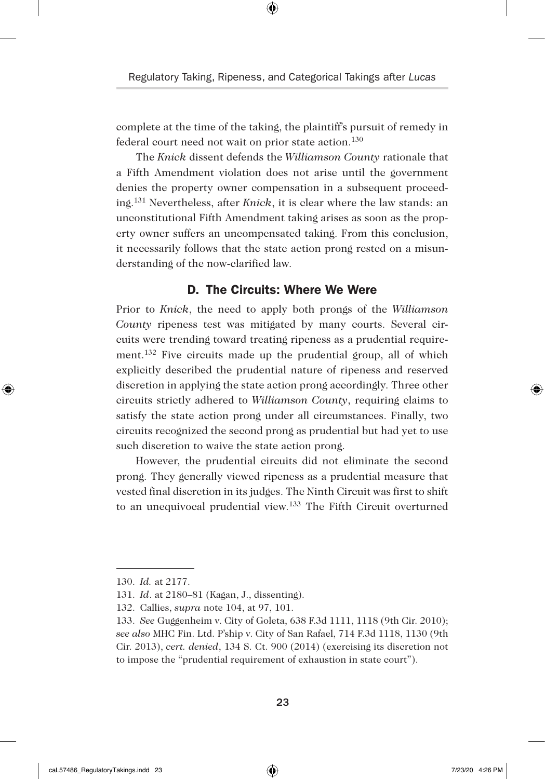complete at the time of the taking, the plaintiff's pursuit of remedy in federal court need not wait on prior state action.<sup>130</sup>

The *Knick* dissent defends the *Williamson County* rationale that a Fifth Amendment violation does not arise until the government denies the property owner compensation in a subsequent proceeding.131 Nevertheless, after *Knick*, it is clear where the law stands: an unconstitutional Fifth Amendment taking arises as soon as the property owner suffers an uncompensated taking. From this conclusion, it necessarily follows that the state action prong rested on a misunderstanding of the now-clarified law.

### D. The Circuits: Where We Were

Prior to *Knick*, the need to apply both prongs of the *Williamson County* ripeness test was mitigated by many courts. Several circuits were trending toward treating ripeness as a prudential requirement.132 Five circuits made up the prudential group, all of which explicitly described the prudential nature of ripeness and reserved discretion in applying the state action prong accordingly. Three other circuits strictly adhered to *Williamson County*, requiring claims to satisfy the state action prong under all circumstances. Finally, two circuits recognized the second prong as prudential but had yet to use such discretion to waive the state action prong.

However, the prudential circuits did not eliminate the second prong. They generally viewed ripeness as a prudential measure that vested final discretion in its judges. The Ninth Circuit was first to shift to an unequivocal prudential view.133 The Fifth Circuit overturned

◈

<sup>130.</sup> *Id.* at 2177.

<sup>131.</sup> *Id*. at 2180–81 (Kagan, J., dissenting).

<sup>132.</sup> Callies, *supra* note 104, at 97, 101.

<sup>133.</sup> *See* Guggenheim v. City of Goleta, 638 F.3d 1111, 1118 (9th Cir. 2010); *see also* MHC Fin. Ltd. P'ship v. City of San Rafael, 714 F.3d 1118, 1130 (9th Cir. 2013), *cert. denied*, 134 S. Ct. 900 (2014) (exercising its discretion not to impose the "prudential requirement of exhaustion in state court").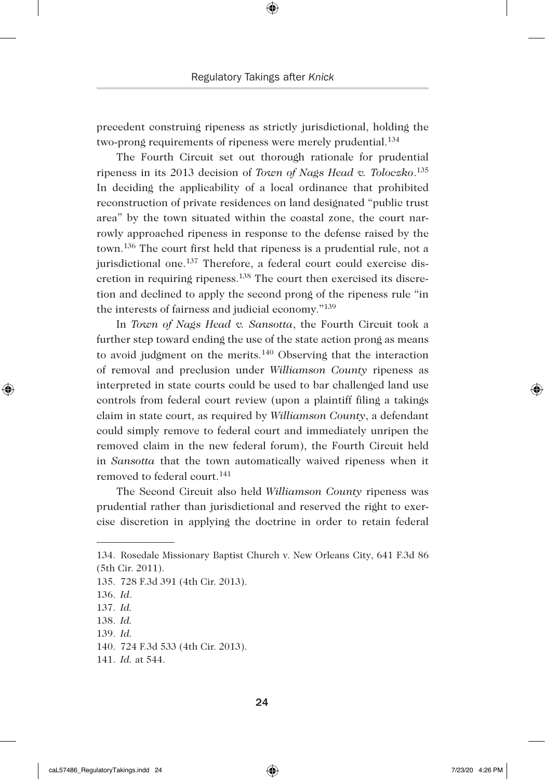precedent construing ripeness as strictly jurisdictional, holding the two-prong requirements of ripeness were merely prudential.<sup>134</sup>

The Fourth Circuit set out thorough rationale for prudential ripeness in its 2013 decision of *Town of Nags Head v. Toloczko*. 135 In deciding the applicability of a local ordinance that prohibited reconstruction of private residences on land designated "public trust area" by the town situated within the coastal zone, the court narrowly approached ripeness in response to the defense raised by the town.136 The court first held that ripeness is a prudential rule, not a jurisdictional one.<sup>137</sup> Therefore, a federal court could exercise discretion in requiring ripeness.138 The court then exercised its discretion and declined to apply the second prong of the ripeness rule "in the interests of fairness and judicial economy."139

In *Town of Nags Head v. Sansotta*, the Fourth Circuit took a further step toward ending the use of the state action prong as means to avoid judgment on the merits.140 Observing that the interaction of removal and preclusion under *Williamson County* ripeness as interpreted in state courts could be used to bar challenged land use controls from federal court review (upon a plaintiff filing a takings claim in state court, as required by *Williamson County*, a defendant could simply remove to federal court and immediately unripen the removed claim in the new federal forum), the Fourth Circuit held in *Sansotta* that the town automatically waived ripeness when it removed to federal court.141

The Second Circuit also held *Williamson County* ripeness was prudential rather than jurisdictional and reserved the right to exercise discretion in applying the doctrine in order to retain federal

◈

<sup>134.</sup> Rosedale Missionary Baptist Church v. New Orleans City, 641 F.3d 86 (5th Cir. 2011).

<sup>135.</sup> 728 F.3d 391 (4th Cir. 2013).

<sup>136.</sup> *Id*.

<sup>137.</sup> *Id.*

<sup>138.</sup> *Id.*

<sup>139.</sup> *Id.*

<sup>140.</sup> 724 F.3d 533 (4th Cir. 2013).

<sup>141.</sup> *Id.* at 544.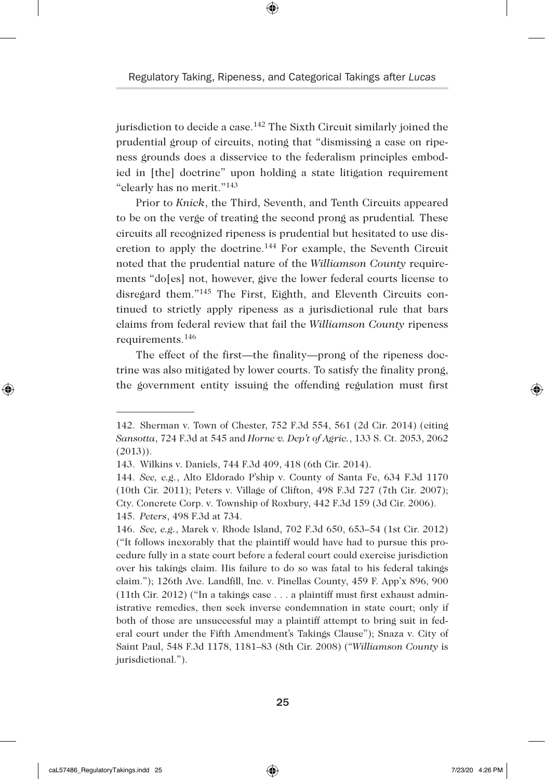⊕

jurisdiction to decide a case.<sup>142</sup> The Sixth Circuit similarly joined the prudential group of circuits, noting that "dismissing a case on ripeness grounds does a disservice to the federalism principles embodied in [the] doctrine" upon holding a state litigation requirement "clearly has no merit."143

Prior to *Knick*, the Third, Seventh, and Tenth Circuits appeared to be on the verge of treating the second prong as prudential*.* These circuits all recognized ripeness is prudential but hesitated to use discretion to apply the doctrine.144 For example, the Seventh Circuit noted that the prudential nature of the *Williamson County* requirements "do[es] not, however, give the lower federal courts license to disregard them."145 The First, Eighth, and Eleventh Circuits continued to strictly apply ripeness as a jurisdictional rule that bars claims from federal review that fail the *Williamson County* ripeness requirements.146

The effect of the first—the finality—prong of the ripeness doctrine was also mitigated by lower courts. To satisfy the finality prong, the government entity issuing the offending regulation must first

◈

<sup>142.</sup> Sherman v. Town of Chester, 752 F.3d 554, 561 (2d Cir. 2014) (citing *Sansotta*, 724 F.3d at 545 and *Horne v. Dep't of Agric.*, 133 S. Ct. 2053, 2062  $(2013)$ ).

<sup>143.</sup> Wilkins v. Daniels, 744 F.3d 409, 418 (6th Cir. 2014).

<sup>144.</sup> *See, e.g.*, Alto Eldorado P'ship v. County of Santa Fe, 634 F.3d 1170 (10th Cir. 2011); Peters v. Village of Clifton, 498 F.3d 727 (7th Cir. 2007); Cty. Concrete Corp. v. Township of Roxbury, 442 F.3d 159 (3d Cir. 2006). 145. *Peters*, 498 F.3d at 734.

<sup>146.</sup> *See, e.g.*, Marek v. Rhode Island, 702 F.3d 650, 653–54 (1st Cir. 2012) ("It follows inexorably that the plaintiff would have had to pursue this procedure fully in a state court before a federal court could exercise jurisdiction over his takings claim. His failure to do so was fatal to his federal takings claim."); 126th Ave. Landfill, Inc. v. Pinellas County, 459 F. App'x 896, 900 (11th Cir. 2012) ("In a takings case . . . a plaintiff must first exhaust administrative remedies, then seek inverse condemnation in state court; only if both of those are unsuccessful may a plaintiff attempt to bring suit in federal court under the Fifth Amendment's Takings Clause"); Snaza v. City of Saint Paul, 548 F.3d 1178, 1181–83 (8th Cir. 2008) ("*Williamson County* is jurisdictional.").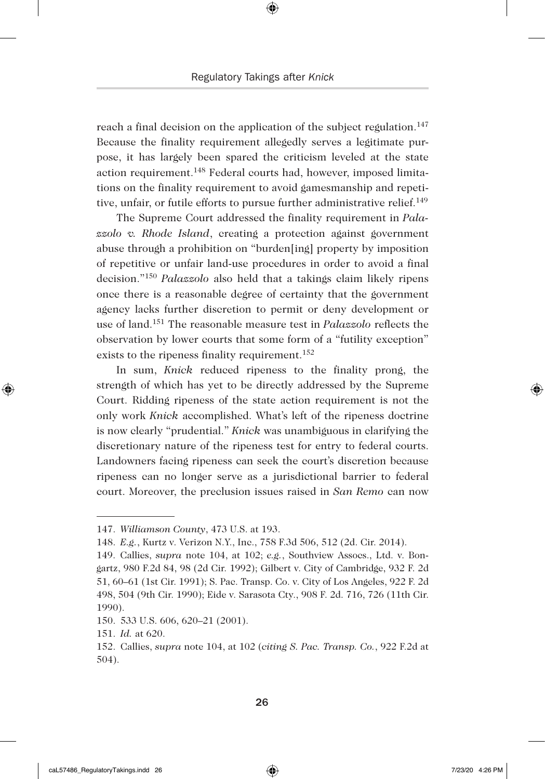reach a final decision on the application of the subject regulation.<sup>147</sup> Because the finality requirement allegedly serves a legitimate purpose, it has largely been spared the criticism leveled at the state action requirement.148 Federal courts had, however, imposed limitations on the finality requirement to avoid gamesmanship and repetitive, unfair, or futile efforts to pursue further administrative relief.<sup>149</sup>

The Supreme Court addressed the finality requirement in *Palazzolo v. Rhode Island*, creating a protection against government abuse through a prohibition on "burden[ing] property by imposition of repetitive or unfair land-use procedures in order to avoid a final decision."150 *Palazzolo* also held that a takings claim likely ripens once there is a reasonable degree of certainty that the government agency lacks further discretion to permit or deny development or use of land.151 The reasonable measure test in *Palazzolo* reflects the observation by lower courts that some form of a "futility exception" exists to the ripeness finality requirement.<sup>152</sup>

In sum, *Knick* reduced ripeness to the finality prong, the strength of which has yet to be directly addressed by the Supreme Court. Ridding ripeness of the state action requirement is not the only work *Knick* accomplished. What's left of the ripeness doctrine is now clearly "prudential." *Knick* was unambiguous in clarifying the discretionary nature of the ripeness test for entry to federal courts. Landowners facing ripeness can seek the court's discretion because ripeness can no longer serve as a jurisdictional barrier to federal court. Moreover, the preclusion issues raised in *San Remo* can now

◈

<sup>147.</sup> *Williamson County*, 473 U.S. at 193.

<sup>148.</sup> *E.g.*, Kurtz v. Verizon N.Y., Inc., 758 F.3d 506, 512 (2d. Cir. 2014).

<sup>149.</sup> Callies, *supra* note 104, at 102; *e.g.*, Southview Assocs., Ltd. v. Bongartz, 980 F.2d 84, 98 (2d Cir. 1992); Gilbert v. City of Cambridge, 932 F. 2d 51, 60–61 (1st Cir. 1991); S. Pac. Transp. Co. v. City of Los Angeles, 922 F. 2d 498, 504 (9th Cir. 1990); Eide v. Sarasota Cty., 908 F. 2d. 716, 726 (11th Cir. 1990).

<sup>150.</sup> 533 U.S. 606, 620–21 (2001).

<sup>151.</sup> *Id.* at 620.

<sup>152.</sup> Callies, *supra* note 104, at 102 (*citing S. Pac. Transp. Co.*, 922 F.2d at 504).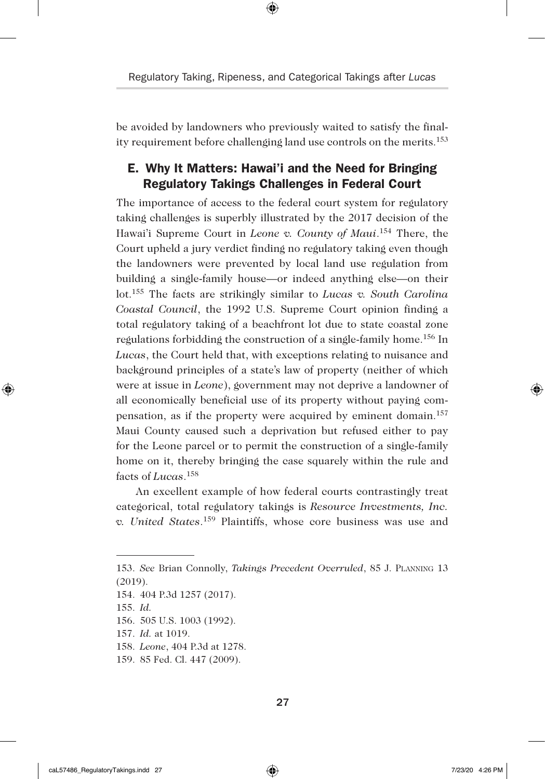be avoided by landowners who previously waited to satisfy the finality requirement before challenging land use controls on the merits.153

# E. Why It Matters: Hawai'i and the Need for Bringing Regulatory Takings Challenges in Federal Court

The importance of access to the federal court system for regulatory taking challenges is superbly illustrated by the 2017 decision of the Hawai'i Supreme Court in *Leone v. County of Maui*. 154 There, the Court upheld a jury verdict finding no regulatory taking even though the landowners were prevented by local land use regulation from building a single-family house—or indeed anything else—on their lot.155 The facts are strikingly similar to *Lucas v. South Carolina Coastal Council*, the 1992 U.S. Supreme Court opinion finding a total regulatory taking of a beachfront lot due to state coastal zone regulations forbidding the construction of a single-family home.156 In *Lucas*, the Court held that, with exceptions relating to nuisance and background principles of a state's law of property (neither of which were at issue in *Leone*), government may not deprive a landowner of all economically beneficial use of its property without paying compensation, as if the property were acquired by eminent domain.157 Maui County caused such a deprivation but refused either to pay for the Leone parcel or to permit the construction of a single-family home on it, thereby bringing the case squarely within the rule and facts of *Lucas*. 158

An excellent example of how federal courts contrastingly treat categorical, total regulatory takings is *Resource Investments, Inc. v. United States*. 159 Plaintiffs, whose core business was use and

155. *Id.* 

◈

<sup>153.</sup> *See* Brian Connolly, *Takings Precedent Overruled*, 85 J. Planning 13 (2019).

<sup>154.</sup> 404 P.3d 1257 (2017).

<sup>156.</sup> 505 U.S. 1003 (1992).

<sup>157.</sup> *Id.* at 1019.

<sup>158.</sup> *Leone*, 404 P.3d at 1278.

<sup>159.</sup> 85 Fed. Cl. 447 (2009).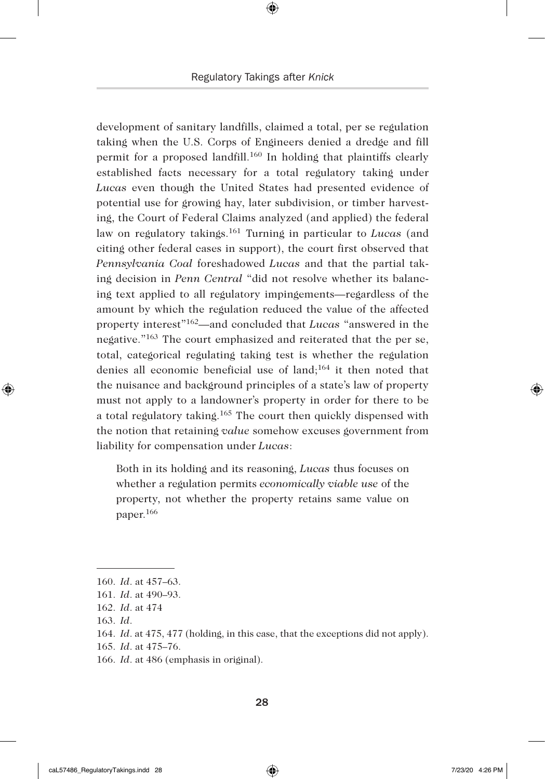development of sanitary landfills, claimed a total, per se regulation taking when the U.S. Corps of Engineers denied a dredge and fill permit for a proposed landfill.160 In holding that plaintiffs clearly established facts necessary for a total regulatory taking under *Lucas* even though the United States had presented evidence of potential use for growing hay, later subdivision, or timber harvesting, the Court of Federal Claims analyzed (and applied) the federal law on regulatory takings.161 Turning in particular to *Lucas* (and citing other federal cases in support), the court first observed that *Pennsylvania Coal* foreshadowed *Lucas* and that the partial taking decision in *Penn Central* "did not resolve whether its balancing text applied to all regulatory impingements—regardless of the amount by which the regulation reduced the value of the affected property interest"162—and concluded that *Lucas* "answered in the negative."163 The court emphasized and reiterated that the per se, total, categorical regulating taking test is whether the regulation denies all economic beneficial use of land;164 it then noted that the nuisance and background principles of a state's law of property must not apply to a landowner's property in order for there to be a total regulatory taking.165 The court then quickly dispensed with the notion that retaining *value* somehow excuses government from liability for compensation under *Lucas*:

Both in its holding and its reasoning, *Lucas* thus focuses on whether a regulation permits *economically viable use* of the property, not whether the property retains same value on paper.166

◈

#### 28

<sup>160.</sup> *Id*. at 457–63.

<sup>161.</sup> *Id*. at 490–93.

<sup>162.</sup> *Id*. at 474

<sup>163.</sup> *Id*.

<sup>164.</sup> *Id*. at 475, 477 (holding, in this case, that the exceptions did not apply).

<sup>165.</sup> *Id*. at 475–76.

<sup>166.</sup> *Id*. at 486 (emphasis in original).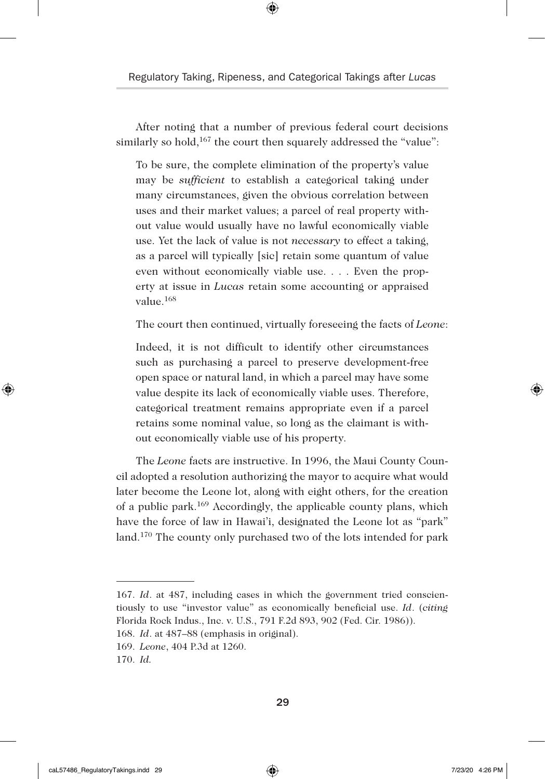After noting that a number of previous federal court decisions similarly so hold,<sup>167</sup> the court then squarely addressed the "value":

To be sure, the complete elimination of the property's value may be *sufficient* to establish a categorical taking under many circumstances, given the obvious correlation between uses and their market values; a parcel of real property without value would usually have no lawful economically viable use. Yet the lack of value is not *necessary* to effect a taking, as a parcel will typically [sic] retain some quantum of value even without economically viable use. . . . Even the property at issue in *Lucas* retain some accounting or appraised value.168

The court then continued, virtually foreseeing the facts of *Leone*:

Indeed, it is not difficult to identify other circumstances such as purchasing a parcel to preserve development-free open space or natural land, in which a parcel may have some value despite its lack of economically viable uses. Therefore, categorical treatment remains appropriate even if a parcel retains some nominal value, so long as the claimant is without economically viable use of his property.

The *Leone* facts are instructive. In 1996, the Maui County Council adopted a resolution authorizing the mayor to acquire what would later become the Leone lot, along with eight others, for the creation of a public park.169 Accordingly, the applicable county plans, which have the force of law in Hawai'i, designated the Leone lot as "park" land.170 The county only purchased two of the lots intended for park

◈

<sup>167.</sup> *Id*. at 487, including cases in which the government tried conscientiously to use "investor value" as economically beneficial use. *Id*. (*citing* Florida Rock Indus., Inc. v. U.S., 791 F.2d 893, 902 (Fed. Cir. 1986)).

<sup>168.</sup> *Id*. at 487–88 (emphasis in original).

<sup>169.</sup> *Leone*, 404 P.3d at 1260.

<sup>170.</sup> *Id.*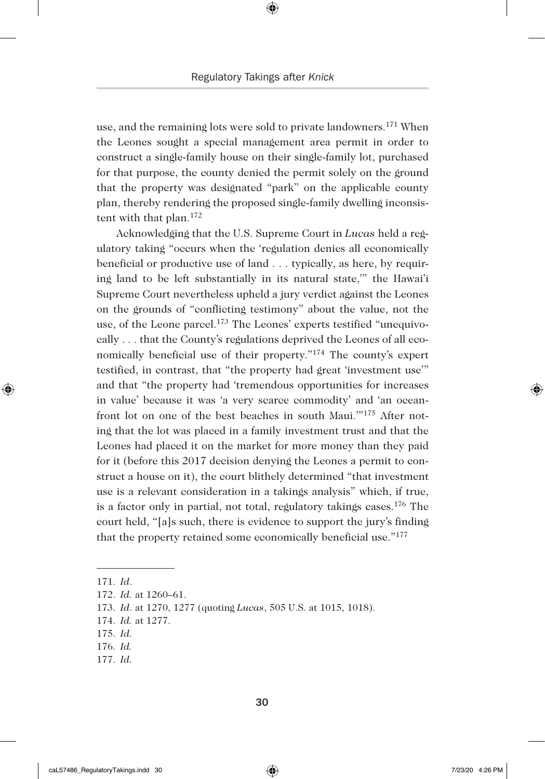use, and the remaining lots were sold to private landowners.171 When the Leones sought a special management area permit in order to construct a single-family house on their single-family lot, purchased for that purpose, the county denied the permit solely on the ground that the property was designated "park" on the applicable county plan, thereby rendering the proposed single-family dwelling inconsistent with that plan.172

Acknowledging that the U.S. Supreme Court in *Lucas* held a regulatory taking "occurs when the 'regulation denies all economically beneficial or productive use of land . . . typically, as here, by requiring land to be left substantially in its natural state,'" the Hawai'i Supreme Court nevertheless upheld a jury verdict against the Leones on the grounds of "conflicting testimony" about the value, not the use, of the Leone parcel.173 The Leones' experts testified "unequivocally . . . that the County's regulations deprived the Leones of all economically beneficial use of their property."174 The county's expert testified, in contrast, that "the property had great 'investment use'" and that "the property had 'tremendous opportunities for increases in value' because it was 'a very scarce commodity' and 'an oceanfront lot on one of the best beaches in south Maui.'"175 After noting that the lot was placed in a family investment trust and that the Leones had placed it on the market for more money than they paid for it (before this 2017 decision denying the Leones a permit to construct a house on it), the court blithely determined "that investment use is a relevant consideration in a takings analysis" which, if true, is a factor only in partial, not total, regulatory takings cases.176 The court held, "[a]s such, there is evidence to support the jury's finding that the property retained some economically beneficial use."177

171. *Id*.

◈

- 175. *Id.*
- 176. *Id.*
- 177. *Id.*

<sup>172.</sup> *Id.* at 1260–61.

<sup>173.</sup> *Id*. at 1270, 1277 (quoting *Lucas*, 505 U.S. at 1015, 1018).

<sup>174.</sup> *Id.* at 1277.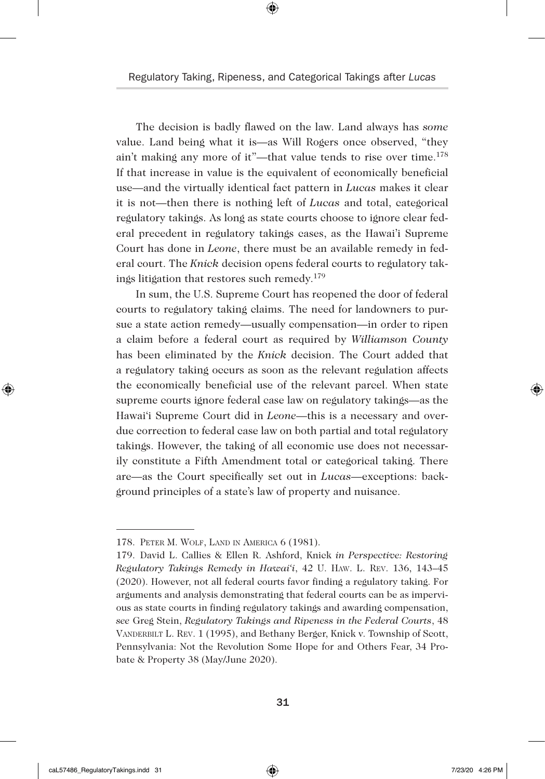The decision is badly flawed on the law. Land always has *some* value. Land being what it is—as Will Rogers once observed, "they ain't making any more of it"—that value tends to rise over time.178 If that increase in value is the equivalent of economically beneficial use—and the virtually identical fact pattern in *Lucas* makes it clear it is not—then there is nothing left of *Lucas* and total, categorical regulatory takings. As long as state courts choose to ignore clear federal precedent in regulatory takings cases, as the Hawai'i Supreme Court has done in *Leone*, there must be an available remedy in federal court. The *Knick* decision opens federal courts to regulatory takings litigation that restores such remedy.179

In sum, the U.S. Supreme Court has reopened the door of federal courts to regulatory taking claims. The need for landowners to pursue a state action remedy—usually compensation—in order to ripen a claim before a federal court as required by *Williamson County* has been eliminated by the *Knick* decision. The Court added that a regulatory taking occurs as soon as the relevant regulation affects the economically beneficial use of the relevant parcel. When state supreme courts ignore federal case law on regulatory takings—as the Hawai'i Supreme Court did in *Leone*—this is a necessary and overdue correction to federal case law on both partial and total regulatory takings. However, the taking of all economic use does not necessarily constitute a Fifth Amendment total or categorical taking. There are—as the Court specifically set out in *Lucas*—exceptions: background principles of a state's law of property and nuisance.

◈

<sup>178.</sup> Peter M. Wolf, Land in America 6 (1981).

<sup>179.</sup> David L. Callies & Ellen R. Ashford, Knick *in Perspective: Restoring Regulatory Takings Remedy in Hawai'i*, 42 U. Haw. L. Rev. 136, 143–45 (2020). However, not all federal courts favor finding a regulatory taking. For arguments and analysis demonstrating that federal courts can be as impervious as state courts in finding regulatory takings and awarding compensation, *see* Greg Stein, *Regulatory Takings and Ripeness in the Federal Courts*, 48 Vanderbilt L. Rev. 1 (1995), and Bethany Berger, Knick v. Township of Scott, Pennsylvania: Not the Revolution Some Hope for and Others Fear, 34 Probate & Property 38 (May/June 2020).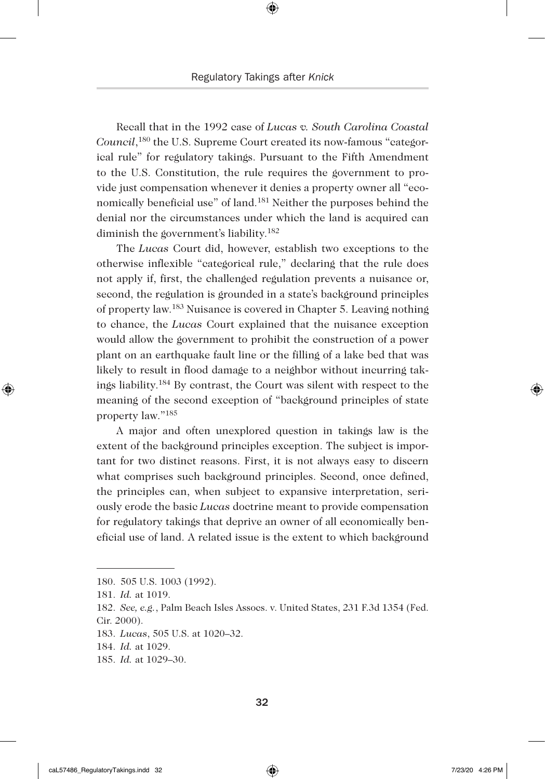Recall that in the 1992 case of *Lucas v. South Carolina Coastal Council*, 180 the U.S. Supreme Court created its now-famous "categorical rule" for regulatory takings. Pursuant to the Fifth Amendment to the U.S. Constitution, the rule requires the government to provide just compensation whenever it denies a property owner all "economically beneficial use" of land.181 Neither the purposes behind the denial nor the circumstances under which the land is acquired can diminish the government's liability.182

The *Lucas* Court did, however, establish two exceptions to the otherwise inflexible "categorical rule," declaring that the rule does not apply if, first, the challenged regulation prevents a nuisance or, second, the regulation is grounded in a state's background principles of property law.183 Nuisance is covered in Chapter 5. Leaving nothing to chance, the *Lucas* Court explained that the nuisance exception would allow the government to prohibit the construction of a power plant on an earthquake fault line or the filling of a lake bed that was likely to result in flood damage to a neighbor without incurring takings liability.184 By contrast, the Court was silent with respect to the meaning of the second exception of "background principles of state property law."185

A major and often unexplored question in takings law is the extent of the background principles exception. The subject is important for two distinct reasons. First, it is not always easy to discern what comprises such background principles. Second, once defined, the principles can, when subject to expansive interpretation, seriously erode the basic *Lucas* doctrine meant to provide compensation for regulatory takings that deprive an owner of all economically beneficial use of land. A related issue is the extent to which background

◈

<sup>180.</sup> 505 U.S. 1003 (1992).

<sup>181.</sup> *Id.* at 1019.

<sup>182.</sup> *See, e.g.*, Palm Beach Isles Assocs. v. United States, 231 F.3d 1354 (Fed. Cir. 2000).

<sup>183.</sup> *Lucas*, 505 U.S. at 1020–32.

<sup>184.</sup> *Id.* at 1029.

<sup>185.</sup> *Id.* at 1029–30.